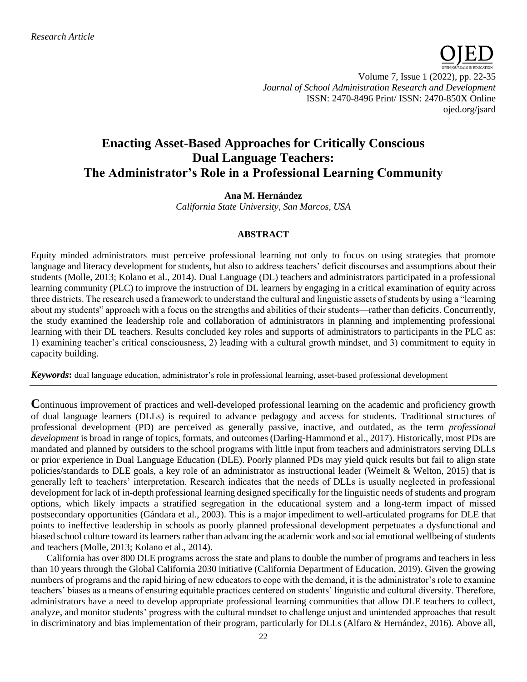

Volume 7, Issue 1 (2022), pp. 22-35 *Journal of School Administration Research and Development* ISSN: 2470-8496 Print/ ISSN: 2470-850X Online [ojed.org/jsard](https://www.ojed.org/index.php/JSARD)

# **Enacting Asset-Based Approaches for Critically Conscious Dual Language Teachers: The Administrator's Role in a Professional Learning Community**

# **Ana M. Hernández**

*California State University, San Marcos, USA*

# **ABSTRACT**

Equity minded administrators must perceive professional learning not only to focus on using strategies that promote language and literacy development for students, but also to address teachers' deficit discourses and assumptions about their students (Molle, 2013; Kolano et al., 2014). Dual Language (DL) teachers and administrators participated in a professional learning community (PLC) to improve the instruction of DL learners by engaging in a critical examination of equity across three districts. The research used a framework to understand the cultural and linguistic assets of students by using a "learning about my students" approach with a focus on the strengths and abilities of their students––rather than deficits. Concurrently, the study examined the leadership role and collaboration of administrators in planning and implementing professional learning with their DL teachers. Results concluded key roles and supports of administrators to participants in the PLC as: 1) examining teacher's critical consciousness, 2) leading with a cultural growth mindset, and 3) commitment to equity in capacity building.

*Keywords***:** dual language education, administrator's role in professional learning, asset-based professional development

**C**ontinuous improvement of practices and well-developed professional learning on the academic and proficiency growth of dual language learners (DLLs) is required to advance pedagogy and access for students. Traditional structures of professional development (PD) are perceived as generally passive, inactive, and outdated, as the term *professional development* is broad in range of topics, formats, and outcomes (Darling-Hammond et al., 2017). Historically, most PDs are mandated and planned by outsiders to the school programs with little input from teachers and administrators serving DLLs or prior experience in Dual Language Education (DLE). Poorly planned PDs may yield quick results but fail to align state policies/standards to DLE goals, a key role of an administrator as instructional leader (Weimelt & Welton, 2015) that is generally left to teachers' interpretation. Research indicates that the needs of DLLs is usually neglected in professional development for lack of in-depth professional learning designed specifically for the linguistic needs of students and program options, which likely impacts a stratified segregation in the educational system and a long-term impact of missed postsecondary opportunities (Gándara et al., 2003). This is a major impediment to well-articulated programs for DLE that points to ineffective leadership in schools as poorly planned professional development perpetuates a dysfunctional and biased school culture toward its learners rather than advancing the academic work and social emotional wellbeing of students and teachers (Molle, 2013; Kolano et al., 2014).

California has over 800 DLE programs across the state and plans to double the number of programs and teachers in less than 10 years through the Global California 2030 initiative (California Department of Education, 2019). Given the growing numbers of programs and the rapid hiring of new educators to cope with the demand, it is the administrator's role to examine teachers' biases as a means of ensuring equitable practices centered on students' linguistic and cultural diversity. Therefore, administrators have a need to develop appropriate professional learning communities that allow DLE teachers to collect, analyze, and monitor students' progress with the cultural mindset to challenge unjust and unintended approaches that result in discriminatory and bias implementation of their program, particularly for DLLs (Alfaro & Hernández, 2016). Above all,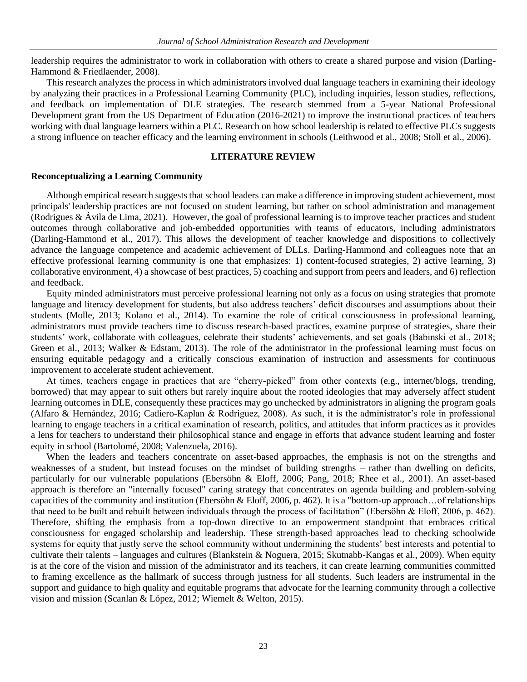leadership requires the administrator to work in collaboration with others to create a shared purpose and vision (Darling-Hammond & Friedlaender, 2008).

This research analyzes the process in which administrators involved dual language teachers in examining their ideology by analyzing their practices in a Professional Learning Community (PLC), including inquiries, lesson studies, reflections, and feedback on implementation of DLE strategies. The research stemmed from a 5-year National Professional Development grant from the US Department of Education (2016-2021) to improve the instructional practices of teachers working with dual language learners within a PLC. Research on how school leadership is related to effective PLCs suggests a strong influence on teacher efficacy and the learning environment in schools (Leithwood et al., 2008; Stoll et al., 2006).

# **LITERATURE REVIEW**

#### **Reconceptualizing a Learning Community**

Although empirical research suggests that school leaders can make a difference in improving student achievement, most principals' leadership practices are not focused on student learning, but rather on school administration and management (Rodrigues & Ávila de Lima, 2021). However, the goal of professional learning is to improve teacher practices and student outcomes through collaborative and job-embedded opportunities with teams of educators, including administrators (Darling-Hammond et al., 2017). This allows the development of teacher knowledge and dispositions to collectively advance the language competence and academic achievement of DLLs. Darling-Hammond and colleagues note that an effective professional learning community is one that emphasizes: 1) content-focused strategies, 2) active learning, 3) collaborative environment, 4) a showcase of best practices, 5) coaching and support from peers and leaders, and 6) reflection and feedback.

Equity minded administrators must perceive professional learning not only as a focus on using strategies that promote language and literacy development for students, but also address teachers' deficit discourses and assumptions about their students (Molle, 2013; Kolano et al., 2014). To examine the role of critical consciousness in professional learning, administrators must provide teachers time to discuss research-based practices, examine purpose of strategies, share their students' work, collaborate with colleagues, celebrate their students' achievements, and set goals (Babinski et al., 2018; Green et al., 2013; Walker & Edstam, 2013). The role of the administrator in the professional learning must focus on ensuring equitable pedagogy and a critically conscious examination of instruction and assessments for continuous improvement to accelerate student achievement.

At times, teachers engage in practices that are "cherry-picked" from other contexts (e.g., internet/blogs, trending, borrowed) that may appear to suit others but rarely inquire about the rooted ideologies that may adversely affect student learning outcomes in DLE, consequently these practices may go unchecked by administrators in aligning the program goals (Alfaro & Hernández, 2016; Cadiero-Kaplan & Rodriguez, 2008). As such, it is the administrator's role in professional learning to engage teachers in a critical examination of research, politics, and attitudes that inform practices as it provides a lens for teachers to understand their philosophical stance and engage in efforts that advance student learning and foster equity in school (Bartolomé, 2008; Valenzuela, 2016).

When the leaders and teachers concentrate on asset-based approaches, the emphasis is not on the strengths and weaknesses of a student, but instead focuses on the mindset of building strengths – rather than dwelling on deficits, particularly for our vulnerable populations (Ebersöhn & Eloff, 2006; Pang, 2018; Rhee et al., 2001). An asset-based approach is therefore an "internally focused" caring strategy that concentrates on agenda building and problem-solving capacities of the community and institution (Ebersöhn & Eloff, 2006, p. 462). It is a "bottom-up approach…of relationships that need to be built and rebuilt between individuals through the process of facilitation" (Ebersöhn & Eloff, 2006, p. 462). Therefore, shifting the emphasis from a top-down directive to an empowerment standpoint that embraces critical consciousness for engaged scholarship and leadership. These strength-based approaches lead to checking schoolwide systems for equity that justly serve the school community without undermining the students' best interests and potential to cultivate their talents – languages and cultures (Blankstein & Noguera, 2015; Skutnabb-Kangas et al., 2009). When equity is at the core of the vision and mission of the administrator and its teachers, it can create learning communities committed to framing excellence as the hallmark of success through justness for all students. Such leaders are instrumental in the support and guidance to high quality and equitable programs that advocate for the learning community through a collective vision and mission (Scanlan & López, 2012; Wiemelt & Welton, 2015).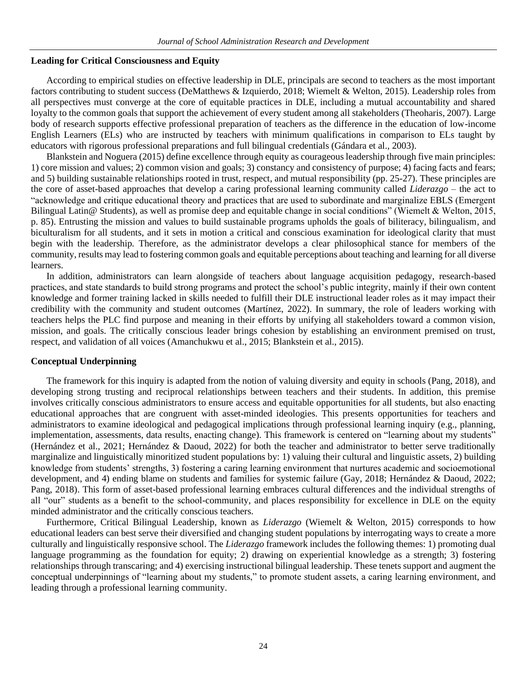#### **Leading for Critical Consciousness and Equity**

According to empirical studies on effective leadership in DLE, principals are second to teachers as the most important factors contributing to student success (DeMatthews & Izquierdo, 2018; Wiemelt & Welton, 2015). Leadership roles from all perspectives must converge at the core of equitable practices in DLE, including a mutual accountability and shared loyalty to the common goals that support the achievement of every student among all stakeholders (Theoharis, 2007). Large body of research supports effective professional preparation of teachers as the difference in the education of low-income English Learners (ELs) who are instructed by teachers with minimum qualifications in comparison to ELs taught by educators with rigorous professional preparations and full bilingual credentials (Gándara et al., 2003).

Blankstein and Noguera (2015) define excellence through equity as courageous leadership through five main principles: 1) core mission and values; 2) common vision and goals; 3) constancy and consistency of purpose; 4) facing facts and fears; and 5) building sustainable relationships rooted in trust, respect, and mutual responsibility (pp. 25-27). These principles are the core of asset-based approaches that develop a caring professional learning community called *Liderazgo* – the act to "acknowledge and critique educational theory and practices that are used to subordinate and marginalize EBLS (Emergent Bilingual Latin@ Students), as well as promise deep and equitable change in social conditions" (Wiemelt & Welton, 2015, p. 85). Entrusting the mission and values to build sustainable programs upholds the goals of biliteracy, bilingualism, and biculturalism for all students, and it sets in motion a critical and conscious examination for ideological clarity that must begin with the leadership*.* Therefore, as the administrator develops a clear philosophical stance for members of the community, results may lead to fostering common goals and equitable perceptions about teaching and learning for all diverse learners.

In addition, administrators can learn alongside of teachers about language acquisition pedagogy, research-based practices, and state standards to build strong programs and protect the school's public integrity, mainly if their own content knowledge and former training lacked in skills needed to fulfill their DLE instructional leader roles as it may impact their credibility with the community and student outcomes (Martínez, 2022). In summary, the role of leaders working with teachers helps the PLC find purpose and meaning in their efforts by unifying all stakeholders toward a common vision, mission, and goals. The critically conscious leader brings cohesion by establishing an environment premised on trust, respect, and validation of all voices (Amanchukwu et al., 2015; Blankstein et al., 2015).

#### **Conceptual Underpinning**

The framework for this inquiry is adapted from the notion of valuing diversity and equity in schools (Pang, 2018), and developing strong trusting and reciprocal relationships between teachers and their students. In addition, this premise involves critically conscious administrators to ensure access and equitable opportunities for all students, but also enacting educational approaches that are congruent with asset-minded ideologies. This presents opportunities for teachers and administrators to examine ideological and pedagogical implications through professional learning inquiry (e.g., planning, implementation, assessments, data results, enacting change). This framework is centered on "learning about my students" (Hernández et al., 2021; Hernández & Daoud, 2022) for both the teacher and administrator to better serve traditionally marginalize and linguistically minoritized student populations by: 1) valuing their cultural and linguistic assets, 2) building knowledge from students' strengths, 3) fostering a caring learning environment that nurtures academic and socioemotional development, and 4) ending blame on students and families for systemic failure (Gay, 2018; Hernández & Daoud, 2022; Pang, 2018). This form of asset-based professional learning embraces cultural differences and the individual strengths of all "our" students as a benefit to the school-community, and places responsibility for excellence in DLE on the equity minded administrator and the critically conscious teachers.

Furthermore, Critical Bilingual Leadership, known as *Liderazgo* (Wiemelt & Welton, 2015) corresponds to how educational leaders can best serve their diversified and changing student populations by interrogating ways to create a more culturally and linguistically responsive school. The *Liderazgo* framework includes the following themes: 1) promoting dual language programming as the foundation for equity; 2) drawing on experiential knowledge as a strength; 3) fostering relationships through transcaring; and 4) exercising instructional bilingual leadership. These tenets support and augment the conceptual underpinnings of "learning about my students," to promote student assets, a caring learning environment, and leading through a professional learning community.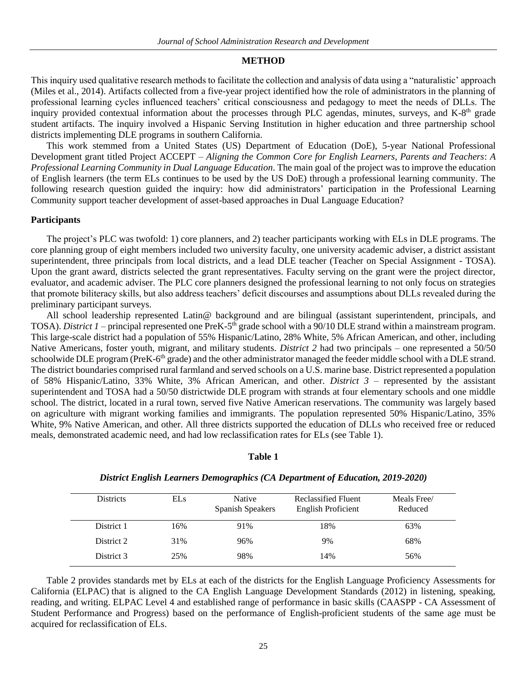#### **METHOD**

This inquiry used qualitative research methods to facilitate the collection and analysis of data using a "naturalistic' approach (Miles et al., 2014). Artifacts collected from a five-year project identified how the role of administrators in the planning of professional learning cycles influenced teachers' critical consciousness and pedagogy to meet the needs of DLLs. The inquiry provided contextual information about the processes through PLC agendas, minutes, surveys, and K-8<sup>th</sup> grade student artifacts. The inquiry involved a Hispanic Serving Institution in higher education and three partnership school districts implementing DLE programs in southern California.

This work stemmed from a United States (US) Department of Education (DoE), 5-year National Professional Development grant titled Project ACCEPT – *Aligning the Common Core for English Learners, Parents and Teachers*: *A Professional Learning Community in Dual Language Education*. The main goal of the project was to improve the education of English learners (the term ELs continues to be used by the US DoE) through a professional learning community. The following research question guided the inquiry: how did administrators' participation in the Professional Learning Community support teacher development of asset-based approaches in Dual Language Education?

#### **Participants**

The project's PLC was twofold: 1) core planners, and 2) teacher participants working with ELs in DLE programs. The core planning group of eight members included two university faculty, one university academic adviser, a district assistant superintendent, three principals from local districts, and a lead DLE teacher (Teacher on Special Assignment - TOSA). Upon the grant award, districts selected the grant representatives. Faculty serving on the grant were the project director, evaluator, and academic adviser. The PLC core planners designed the professional learning to not only focus on strategies that promote biliteracy skills, but also address teachers' deficit discourses and assumptions about DLLs revealed during the preliminary participant surveys.

All school leadership represented Latin@ background and are bilingual (assistant superintendent, principals, and TOSA). *District 1* – principal represented one PreK-5<sup>th</sup> grade school with a 90/10 DLE strand within a mainstream program. This large-scale district had a population of 55% Hispanic/Latino, 28% White, 5% African American, and other, including Native Americans, foster youth, migrant, and military students. *District 2* had two principals – one represented a 50/50 schoolwide DLE program (PreK-6<sup>th</sup> grade) and the other administrator managed the feeder middle school with a DLE strand. The district boundaries comprised rural farmland and served schools on a U.S. marine base. District represented a population of 58% Hispanic/Latino, 33% White, 3% African American, and other. *District 3* – represented by the assistant superintendent and TOSA had a 50/50 districtwide DLE program with strands at four elementary schools and one middle school. The district, located in a rural town, served five Native American reservations. The community was largely based on agriculture with migrant working families and immigrants. The population represented 50% Hispanic/Latino, 35% White, 9% Native American, and other. All three districts supported the education of DLLs who received free or reduced meals, demonstrated academic need, and had low reclassification rates for ELs (see Table 1).

#### **Table 1**

| <b>Districts</b> | <b>ELs</b> | Native<br>Spanish Speakers | Reclassified Fluent<br><b>English Proficient</b> | Meals Free/<br>Reduced |
|------------------|------------|----------------------------|--------------------------------------------------|------------------------|
| District 1       | 16%        | 91%                        | 18%                                              | 63%                    |
| District 2       | 31%        | 96%                        | 9%                                               | 68%                    |
| District 3       | 25%        | 98%                        | 14%                                              | 56%                    |

### *District English Learners Demographics (CA Department of Education, 2019-2020)*

Table 2 provides standards met by ELs at each of the districts for the English Language Proficiency Assessments for California (ELPAC) that is aligned to the CA English Language Development Standards (2012) in listening, speaking, reading, and writing. ELPAC Level 4 and established range of performance in basic skills (CAASPP - CA Assessment of Student Performance and Progress) based on the performance of English-proficient students of the same age must be acquired for reclassification of ELs.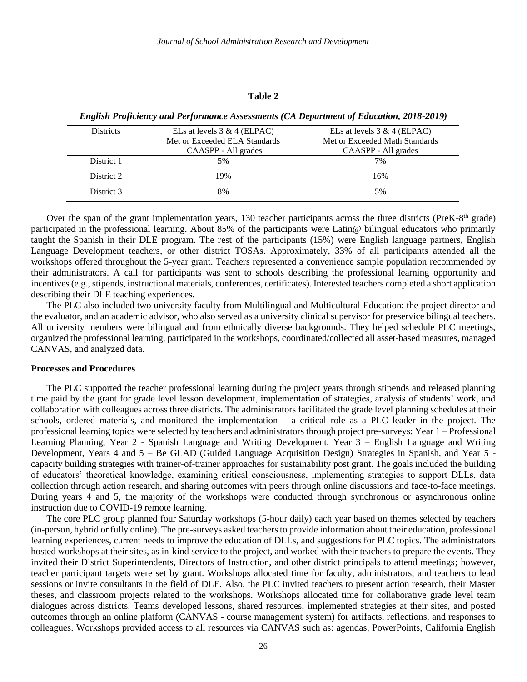#### **Table 2**

| <b>Districts</b> | ELs at levels $3 & 4$ (ELPAC) | ELs at levels $3 & 4$ (ELPAC)  |
|------------------|-------------------------------|--------------------------------|
|                  | Met or Exceeded ELA Standards | Met or Exceeded Math Standards |
|                  | CAASPP - All grades           | CAASPP - All grades            |
| District 1       | 5%                            | 7%                             |
| District 2       | 19%                           | 16%                            |
| District 3       | 8%                            | 5%                             |
|                  |                               |                                |

*English Proficiency and Performance Assessments (CA Department of Education, 2018-2019)*

Over the span of the grant implementation years, 130 teacher participants across the three districts (PreK-8<sup>th</sup> grade) participated in the professional learning. About 85% of the participants were Latin@ bilingual educators who primarily taught the Spanish in their DLE program. The rest of the participants (15%) were English language partners, English Language Development teachers, or other district TOSAs. Approximately, 33% of all participants attended all the workshops offered throughout the 5-year grant. Teachers represented a convenience sample population recommended by their administrators. A call for participants was sent to schools describing the professional learning opportunity and incentives (e.g., stipends, instructional materials, conferences, certificates). Interested teachers completed a short application describing their DLE teaching experiences.

The PLC also included two university faculty from Multilingual and Multicultural Education: the project director and the evaluator, and an academic advisor, who also served as a university clinical supervisor for preservice bilingual teachers. All university members were bilingual and from ethnically diverse backgrounds. They helped schedule PLC meetings, organized the professional learning, participated in the workshops, coordinated/collected all asset-based measures, managed CANVAS, and analyzed data.

### **Processes and Procedures**

The PLC supported the teacher professional learning during the project years through stipends and released planning time paid by the grant for grade level lesson development, implementation of strategies, analysis of students' work, and collaboration with colleagues across three districts. The administrators facilitated the grade level planning schedules at their schools, ordered materials, and monitored the implementation – a critical role as a PLC leader in the project. The professional learning topics were selected by teachers and administrators through project pre-surveys: Year 1 – Professional Learning Planning, Year 2 - Spanish Language and Writing Development, Year 3 – English Language and Writing Development, Years 4 and 5 – Be GLAD (Guided Language Acquisition Design) Strategies in Spanish, and Year 5 capacity building strategies with trainer-of-trainer approaches for sustainability post grant. The goals included the building of educators' theoretical knowledge, examining critical consciousness, implementing strategies to support DLLs, data collection through action research, and sharing outcomes with peers through online discussions and face-to-face meetings. During years 4 and 5, the majority of the workshops were conducted through synchronous or asynchronous online instruction due to COVID-19 remote learning.

The core PLC group planned four Saturday workshops (5-hour daily) each year based on themes selected by teachers (in-person, hybrid or fully online). The pre-surveys asked teachers to provide information about their education, professional learning experiences, current needs to improve the education of DLLs, and suggestions for PLC topics. The administrators hosted workshops at their sites, as in-kind service to the project, and worked with their teachers to prepare the events. They invited their District Superintendents, Directors of Instruction, and other district principals to attend meetings; however, teacher participant targets were set by grant. Workshops allocated time for faculty, administrators, and teachers to lead sessions or invite consultants in the field of DLE. Also, the PLC invited teachers to present action research, their Master theses, and classroom projects related to the workshops. Workshops allocated time for collaborative grade level team dialogues across districts. Teams developed lessons, shared resources, implemented strategies at their sites, and posted outcomes through an online platform (CANVAS - course management system) for artifacts, reflections, and responses to colleagues. Workshops provided access to all resources via CANVAS such as: agendas, PowerPoints, California English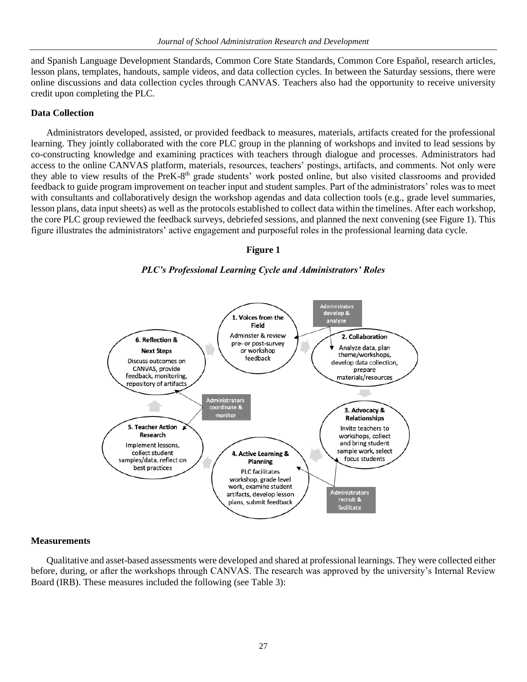and Spanish Language Development Standards, Common Core State Standards, Common Core Español, research articles, lesson plans, templates, handouts, sample videos, and data collection cycles. In between the Saturday sessions, there were online discussions and data collection cycles through CANVAS. Teachers also had the opportunity to receive university credit upon completing the PLC.

## **Data Collection**

Administrators developed, assisted, or provided feedback to measures, materials, artifacts created for the professional learning. They jointly collaborated with the core PLC group in the planning of workshops and invited to lead sessions by co-constructing knowledge and examining practices with teachers through dialogue and processes. Administrators had access to the online CANVAS platform, materials, resources, teachers' postings, artifacts, and comments. Not only were they able to view results of the PreK-8<sup>th</sup> grade students' work posted online, but also visited classrooms and provided feedback to guide program improvement on teacher input and student samples. Part of the administrators' roles was to meet with consultants and collaboratively design the workshop agendas and data collection tools (e.g., grade level summaries, lesson plans, data input sheets) as well as the protocols established to collect data within the timelines. After each workshop, the core PLC group reviewed the feedback surveys, debriefed sessions, and planned the next convening (see Figure 1). This figure illustrates the administrators' active engagement and purposeful roles in the professional learning data cycle.

# **Figure 1**





## **Measurements**

Qualitative and asset-based assessments were developed and shared at professional learnings. They were collected either before, during, or after the workshops through CANVAS. The research was approved by the university's Internal Review Board (IRB). These measures included the following (see Table 3):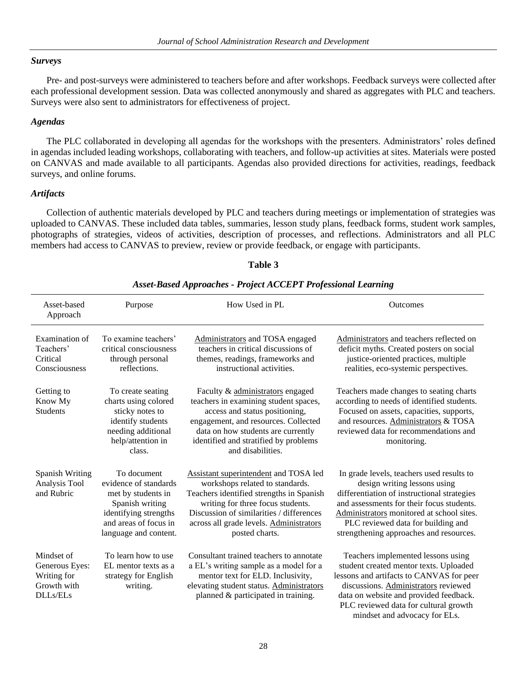## *Surveys*

Pre- and post-surveys were administered to teachers before and after workshops. Feedback surveys were collected after each professional development session. Data was collected anonymously and shared as aggregates with PLC and teachers. Surveys were also sent to administrators for effectiveness of project.

## *Agendas*

The PLC collaborated in developing all agendas for the workshops with the presenters. Administrators' roles defined in agendas included leading workshops, collaborating with teachers, and follow-up activities at sites. Materials were posted on CANVAS and made available to all participants. Agendas also provided directions for activities, readings, feedback surveys, and online forums.

## *Artifacts*

Collection of authentic materials developed by PLC and teachers during meetings or implementation of strategies was uploaded to CANVAS. These included data tables, summaries, lesson study plans, feedback forms, student work samples, photographs of strategies, videos of activities, description of processes, and reflections. Administrators and all PLC members had access to CANVAS to preview, review or provide feedback, or engage with participants.

| Asset-based<br>Approach                                                | Purpose                                                                                                                                                  | How Used in PL                                                                                                                                                                                                                                                     | Outcomes                                                                                                                                                                                                                                                                                            |
|------------------------------------------------------------------------|----------------------------------------------------------------------------------------------------------------------------------------------------------|--------------------------------------------------------------------------------------------------------------------------------------------------------------------------------------------------------------------------------------------------------------------|-----------------------------------------------------------------------------------------------------------------------------------------------------------------------------------------------------------------------------------------------------------------------------------------------------|
| Examination of<br>Teachers'<br>Critical<br>Consciousness               | To examine teachers'<br>critical consciousness<br>through personal<br>reflections.                                                                       | Administrators and TOSA engaged<br>teachers in critical discussions of<br>themes, readings, frameworks and<br>instructional activities.                                                                                                                            | Administrators and teachers reflected on<br>deficit myths. Created posters on social<br>justice-oriented practices, multiple<br>realities, eco-systemic perspectives.                                                                                                                               |
| Getting to<br>Know My<br>Students                                      | To create seating<br>charts using colored<br>sticky notes to<br>identify students<br>needing additional<br>help/attention in<br>class.                   | Faculty & administrators engaged<br>teachers in examining student spaces,<br>access and status positioning,<br>engagement, and resources. Collected<br>data on how students are currently<br>identified and stratified by problems<br>and disabilities.            | Teachers made changes to seating charts<br>according to needs of identified students.<br>Focused on assets, capacities, supports,<br>and resources. Administrators & TOSA<br>reviewed data for recommendations and<br>monitoring.                                                                   |
| <b>Spanish Writing</b><br>Analysis Tool<br>and Rubric                  | To document<br>evidence of standards<br>met by students in<br>Spanish writing<br>identifying strengths<br>and areas of focus in<br>language and content. | Assistant superintendent and TOSA led<br>workshops related to standards.<br>Teachers identified strengths in Spanish<br>writing for three focus students.<br>Discussion of similarities / differences<br>across all grade levels. Administrators<br>posted charts. | In grade levels, teachers used results to<br>design writing lessons using<br>differentiation of instructional strategies<br>and assessments for their focus students.<br>Administrators monitored at school sites.<br>PLC reviewed data for building and<br>strengthening approaches and resources. |
| Mindset of<br>Generous Eyes:<br>Writing for<br>Growth with<br>DLLs/ELs | To learn how to use<br>EL mentor texts as a<br>strategy for English<br>writing.                                                                          | Consultant trained teachers to annotate<br>a EL's writing sample as a model for a<br>mentor text for ELD. Inclusivity,<br>elevating student status. Administrators<br>planned & participated in training.                                                          | Teachers implemented lessons using<br>student created mentor texts. Uploaded<br>lessons and artifacts to CANVAS for peer<br>discussions. Administrators reviewed<br>data on website and provided feedback.<br>PLC reviewed data for cultural growth<br>mindset and advocacy for ELs.                |

# **Table 3**

## *Asset-Based Approaches - Project ACCEPT Professional Learning*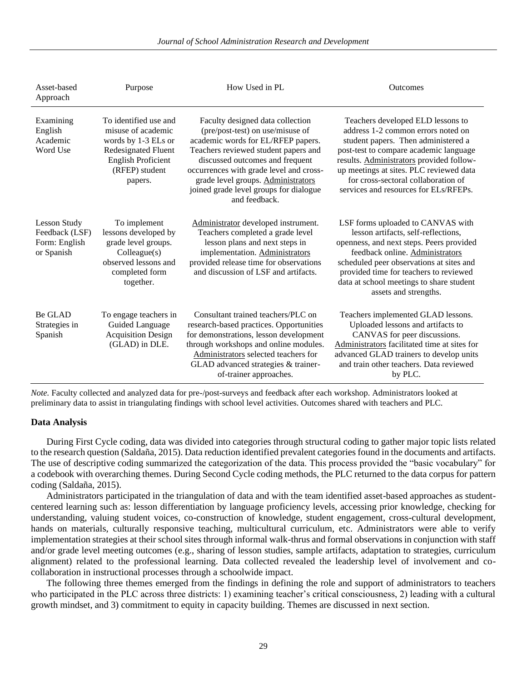Asset-based Approach Purpose How Used in PL Outcomes Examining English Academic Word Use To identified use and misuse of academic words by 1-3 ELs or Redesignated Fluent English Proficient (RFEP) student papers. Faculty designed data collection (pre/post-test) on use/misuse of academic words for EL/RFEP papers. Teachers reviewed student papers and discussed outcomes and frequent occurrences with grade level and crossgrade level groups. Administrators joined grade level groups for dialogue and feedback. Teachers developed ELD lessons to address 1-2 common errors noted on student papers. Then administered a post-test to compare academic language results. Administrators provided followup meetings at sites. PLC reviewed data for cross-sectoral collaboration of services and resources for ELs/RFEPs. Lesson Study Feedback (LSF) Form: English or Spanish To implement lessons developed by grade level groups. Colleague(s) observed lessons and completed form together. Administrator developed instrument. Teachers completed a grade level lesson plans and next steps in implementation. Administrators provided release time for observations and discussion of LSF and artifacts. LSF forms uploaded to CANVAS with lesson artifacts, self-reflections, openness, and next steps. Peers provided feedback online. Administrators scheduled peer observations at sites and provided time for teachers to reviewed data at school meetings to share student assets and strengths. Be GLAD Strategies in Spanish To engage teachers in Guided Language Acquisition Design (GLAD) in DLE. Consultant trained teachers/PLC on research-based practices. Opportunities for demonstrations, lesson development through workshops and online modules. Administrators selected teachers for GLAD advanced strategies & trainerof-trainer approaches. Teachers implemented GLAD lessons. Uploaded lessons and artifacts to CANVAS for peer discussions. Administrators facilitated time at sites for advanced GLAD trainers to develop units and train other teachers. Data reviewed by PLC.

*Journal of School Administration Research and Development*

*Note.* Faculty collected and analyzed data for pre-/post-surveys and feedback after each workshop. Administrators looked at preliminary data to assist in triangulating findings with school level activities. Outcomes shared with teachers and PLC.

#### **Data Analysis**

During First Cycle coding, data was divided into categories through structural coding to gather major topic lists related to the research question (Saldaña, 2015). Data reduction identified prevalent categories found in the documents and artifacts. The use of descriptive coding summarized the categorization of the data. This process provided the "basic vocabulary" for a codebook with overarching themes. During Second Cycle coding methods, the PLC returned to the data corpus for pattern coding (Saldaña, 2015).

Administrators participated in the triangulation of data and with the team identified asset-based approaches as studentcentered learning such as: lesson differentiation by language proficiency levels, accessing prior knowledge, checking for understanding, valuing student voices, co-construction of knowledge, student engagement, cross-cultural development, hands on materials, culturally responsive teaching, multicultural curriculum, etc. Administrators were able to verify implementation strategies at their school sites through informal walk-thrus and formal observations in conjunction with staff and/or grade level meeting outcomes (e.g., sharing of lesson studies, sample artifacts, adaptation to strategies, curriculum alignment) related to the professional learning. Data collected revealed the leadership level of involvement and cocollaboration in instructional processes through a schoolwide impact.

The following three themes emerged from the findings in defining the role and support of administrators to teachers who participated in the PLC across three districts: 1) examining teacher's critical consciousness, 2) leading with a cultural growth mindset, and 3) commitment to equity in capacity building. Themes are discussed in next section.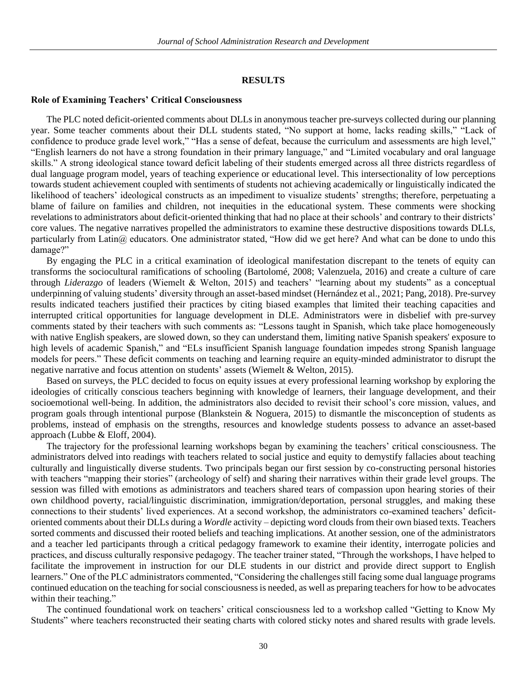#### **RESULTS**

#### **Role of Examining Teachers' Critical Consciousness**

The PLC noted deficit-oriented comments about DLLs in anonymous teacher pre-surveys collected during our planning year. Some teacher comments about their DLL students stated, "No support at home, lacks reading skills," "Lack of confidence to produce grade level work," "Has a sense of defeat, because the curriculum and assessments are high level," "English learners do not have a strong foundation in their primary language," and "Limited vocabulary and oral language skills." A strong ideological stance toward deficit labeling of their students emerged across all three districts regardless of dual language program model, years of teaching experience or educational level. This intersectionality of low perceptions towards student achievement coupled with sentiments of students not achieving academically or linguistically indicated the likelihood of teachers' ideological constructs as an impediment to visualize students' strengths; therefore, perpetuating a blame of failure on families and children, not inequities in the educational system. These comments were shocking revelations to administrators about deficit-oriented thinking that had no place at their schools' and contrary to their districts' core values. The negative narratives propelled the administrators to examine these destructive dispositions towards DLLs, particularly from Latin@ educators. One administrator stated, "How did we get here? And what can be done to undo this damage?"

By engaging the PLC in a critical examination of ideological manifestation discrepant to the tenets of equity can transforms the sociocultural ramifications of schooling (Bartolomé, 2008; Valenzuela, 2016) and create a culture of care through *Liderazgo* of leaders (Wiemelt & Welton, 2015) and teachers' "learning about my students" as a conceptual underpinning of valuing students' diversity through an asset-based mindset (Hernández et al., 2021; Pang, 2018). Pre-survey results indicated teachers justified their practices by citing biased examples that limited their teaching capacities and interrupted critical opportunities for language development in DLE. Administrators were in disbelief with pre-survey comments stated by their teachers with such comments as: "Lessons taught in Spanish, which take place homogeneously with native English speakers, are slowed down, so they can understand them, limiting native Spanish speakers' exposure to high levels of academic Spanish," and "ELs insufficient Spanish language foundation impedes strong Spanish language models for peers." These deficit comments on teaching and learning require an equity-minded administrator to disrupt the negative narrative and focus attention on students' assets (Wiemelt & Welton, 2015).

Based on surveys, the PLC decided to focus on equity issues at every professional learning workshop by exploring the ideologies of critically conscious teachers beginning with knowledge of learners, their language development, and their socioemotional well-being. In addition, the administrators also decided to revisit their school's core mission, values, and program goals through intentional purpose (Blankstein & Noguera, 2015) to dismantle the misconception of students as problems, instead of emphasis on the strengths, resources and knowledge students possess to advance an asset-based approach (Lubbe & Eloff, 2004).

The trajectory for the professional learning workshops began by examining the teachers' critical consciousness. The administrators delved into readings with teachers related to social justice and equity to demystify fallacies about teaching culturally and linguistically diverse students. Two principals began our first session by co-constructing personal histories with teachers "mapping their stories" (archeology of self) and sharing their narratives within their grade level groups. The session was filled with emotions as administrators and teachers shared tears of compassion upon hearing stories of their own childhood poverty, racial/linguistic discrimination, immigration/deportation, personal struggles, and making these connections to their students' lived experiences. At a second workshop, the administrators co-examined teachers' deficitoriented comments about their DLLs during a *Wordle* activity – depicting word clouds from their own biased texts. Teachers sorted comments and discussed their rooted beliefs and teaching implications. At another session, one of the administrators and a teacher led participants through a critical pedagogy framework to examine their identity, interrogate policies and practices, and discuss culturally responsive pedagogy. The teacher trainer stated, "Through the workshops, I have helped to facilitate the improvement in instruction for our DLE students in our district and provide direct support to English learners." One of the PLC administrators commented, "Considering the challenges still facing some dual language programs continued education on the teaching for social consciousness is needed, as well as preparing teachers for how to be advocates within their teaching."

The continued foundational work on teachers' critical consciousness led to a workshop called "Getting to Know My Students" where teachers reconstructed their seating charts with colored sticky notes and shared results with grade levels.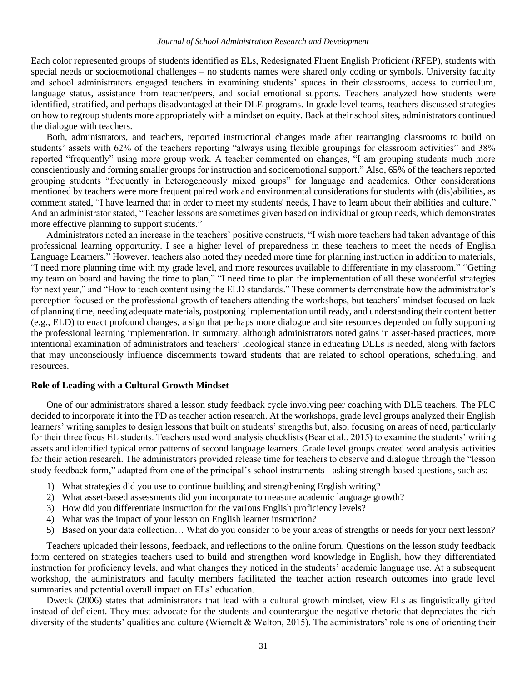Each color represented groups of students identified as ELs, Redesignated Fluent English Proficient (RFEP), students with special needs or socioemotional challenges – no students names were shared only coding or symbols. University faculty and school administrators engaged teachers in examining students' spaces in their classrooms, access to curriculum, language status, assistance from teacher/peers, and social emotional supports. Teachers analyzed how students were identified, stratified, and perhaps disadvantaged at their DLE programs. In grade level teams, teachers discussed strategies on how to regroup students more appropriately with a mindset on equity. Back at their school sites, administrators continued the dialogue with teachers.

Both, administrators, and teachers, reported instructional changes made after rearranging classrooms to build on students' assets with 62% of the teachers reporting "always using flexible groupings for classroom activities" and 38% reported "frequently" using more group work. A teacher commented on changes, "I am grouping students much more conscientiously and forming smaller groups for instruction and socioemotional support." Also, 65% of the teachers reported grouping students "frequently in heterogeneously mixed groups" for language and academics. Other considerations mentioned by teachers were more frequent paired work and environmental considerations for students with (dis)abilities, as comment stated, "I have learned that in order to meet my students' needs, I have to learn about their abilities and culture." And an administrator stated, "Teacher lessons are sometimes given based on individual or group needs, which demonstrates more effective planning to support students."

Administrators noted an increase in the teachers' positive constructs, "I wish more teachers had taken advantage of this professional learning opportunity. I see a higher level of preparedness in these teachers to meet the needs of English Language Learners." However, teachers also noted they needed more time for planning instruction in addition to materials, "I need more planning time with my grade level, and more resources available to differentiate in my classroom." "Getting my team on board and having the time to plan," "I need time to plan the implementation of all these wonderful strategies for next year," and "How to teach content using the ELD standards." These comments demonstrate how the administrator's perception focused on the professional growth of teachers attending the workshops, but teachers' mindset focused on lack of planning time, needing adequate materials, postponing implementation until ready, and understanding their content better (e.g., ELD) to enact profound changes, a sign that perhaps more dialogue and site resources depended on fully supporting the professional learning implementation. In summary, although administrators noted gains in asset-based practices, more intentional examination of administrators and teachers' ideological stance in educating DLLs is needed, along with factors that may unconsciously influence discernments toward students that are related to school operations, scheduling, and resources.

## **Role of Leading with a Cultural Growth Mindset**

One of our administrators shared a lesson study feedback cycle involving peer coaching with DLE teachers. The PLC decided to incorporate it into the PD as teacher action research. At the workshops, grade level groups analyzed their English learners' writing samples to design lessons that built on students' strengths but, also, focusing on areas of need, particularly for their three focus EL students. Teachers used word analysis checklists (Bear et al., 2015) to examine the students' writing assets and identified typical error patterns of second language learners. Grade level groups created word analysis activities for their action research. The administrators provided release time for teachers to observe and dialogue through the "lesson study feedback form," adapted from one of the principal's school instruments - asking strength-based questions, such as:

- 1) What strategies did you use to continue building and strengthening English writing?
- 2) What asset-based assessments did you incorporate to measure academic language growth?
- 3) How did you differentiate instruction for the various English proficiency levels?
- 4) What was the impact of your lesson on English learner instruction?
- 5) Based on your data collection… What do you consider to be your areas of strengths or needs for your next lesson?

Teachers uploaded their lessons, feedback, and reflections to the online forum. Questions on the lesson study feedback form centered on strategies teachers used to build and strengthen word knowledge in English, how they differentiated instruction for proficiency levels, and what changes they noticed in the students' academic language use. At a subsequent workshop, the administrators and faculty members facilitated the teacher action research outcomes into grade level summaries and potential overall impact on ELs' education.

Dweck (2006) states that administrators that lead with a cultural growth mindset, view ELs as linguistically gifted instead of deficient. They must advocate for the students and counterargue the negative rhetoric that depreciates the rich diversity of the students' qualities and culture (Wiemelt & Welton, 2015). The administrators' role is one of orienting their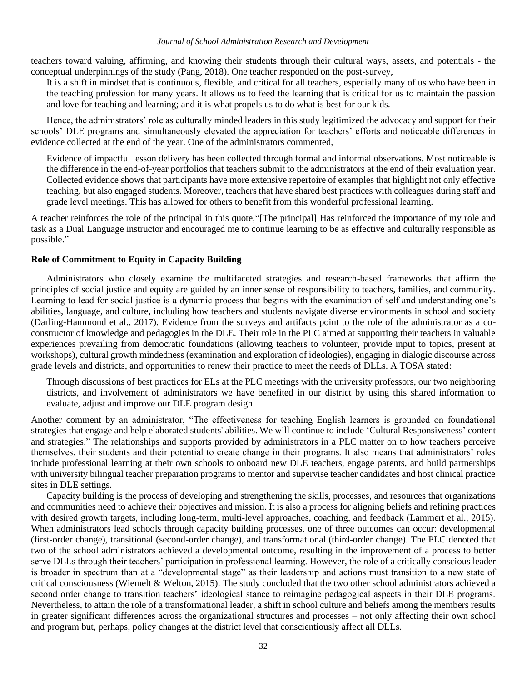teachers toward valuing, affirming, and knowing their students through their cultural ways, assets, and potentials - the conceptual underpinnings of the study (Pang, 2018). One teacher responded on the post-survey,

It is a shift in mindset that is continuous, flexible, and critical for all teachers, especially many of us who have been in the teaching profession for many years. It allows us to feed the learning that is critical for us to maintain the passion and love for teaching and learning; and it is what propels us to do what is best for our kids.

Hence, the administrators' role as culturally minded leaders in this study legitimized the advocacy and support for their schools' DLE programs and simultaneously elevated the appreciation for teachers' efforts and noticeable differences in evidence collected at the end of the year. One of the administrators commented,

Evidence of impactful lesson delivery has been collected through formal and informal observations. Most noticeable is the difference in the end-of-year portfolios that teachers submit to the administrators at the end of their evaluation year. Collected evidence shows that participants have more extensive repertoire of examples that highlight not only effective teaching, but also engaged students. Moreover, teachers that have shared best practices with colleagues during staff and grade level meetings. This has allowed for others to benefit from this wonderful professional learning.

A teacher reinforces the role of the principal in this quote,"[The principal] Has reinforced the importance of my role and task as a Dual Language instructor and encouraged me to continue learning to be as effective and culturally responsible as possible."

# **Role of Commitment to Equity in Capacity Building**

Administrators who closely examine the multifaceted strategies and research-based frameworks that affirm the principles of social justice and equity are guided by an inner sense of responsibility to teachers, families, and community. Learning to lead for social justice is a dynamic process that begins with the examination of self and understanding one's abilities, language, and culture, including how teachers and students navigate diverse environments in school and society (Darling-Hammond et al., 2017). Evidence from the surveys and artifacts point to the role of the administrator as a coconstructor of knowledge and pedagogies in the DLE. Their role in the PLC aimed at supporting their teachers in valuable experiences prevailing from democratic foundations (allowing teachers to volunteer, provide input to topics, present at workshops), cultural growth mindedness (examination and exploration of ideologies), engaging in dialogic discourse across grade levels and districts, and opportunities to renew their practice to meet the needs of DLLs. A TOSA stated:

Through discussions of best practices for ELs at the PLC meetings with the university professors, our two neighboring districts, and involvement of administrators we have benefited in our district by using this shared information to evaluate, adjust and improve our DLE program design.

Another comment by an administrator, "The effectiveness for teaching English learners is grounded on foundational strategies that engage and help elaborated students' abilities. We will continue to include 'Cultural Responsiveness' content and strategies." The relationships and supports provided by administrators in a PLC matter on to how teachers perceive themselves, their students and their potential to create change in their programs. It also means that administrators' roles include professional learning at their own schools to onboard new DLE teachers, engage parents, and build partnerships with university bilingual teacher preparation programs to mentor and supervise teacher candidates and host clinical practice sites in DLE settings.

Capacity building is the process of developing and strengthening the skills, processes, and resources that organizations and communities need to achieve their objectives and mission. It is also a process for aligning beliefs and refining practices with desired growth targets, including long-term, multi-level approaches, coaching, and feedback (Lammert et al., 2015). When administrators lead schools through capacity building processes, one of three outcomes can occur: developmental (first-order change), transitional (second-order change), and transformational (third-order change). The PLC denoted that two of the school administrators achieved a developmental outcome, resulting in the improvement of a process to better serve DLLs through their teachers' participation in professional learning. However, the role of a critically conscious leader is broader in spectrum than at a "developmental stage" as their leadership and actions must transition to a new state of critical consciousness (Wiemelt & Welton, 2015). The study concluded that the two other school administrators achieved a second order change to transition teachers' ideological stance to reimagine pedagogical aspects in their DLE programs. Nevertheless, to attain the role of a transformational leader, a shift in school culture and beliefs among the members results in greater significant differences across the organizational structures and processes – not only affecting their own school and program but, perhaps, policy changes at the district level that conscientiously affect all DLLs.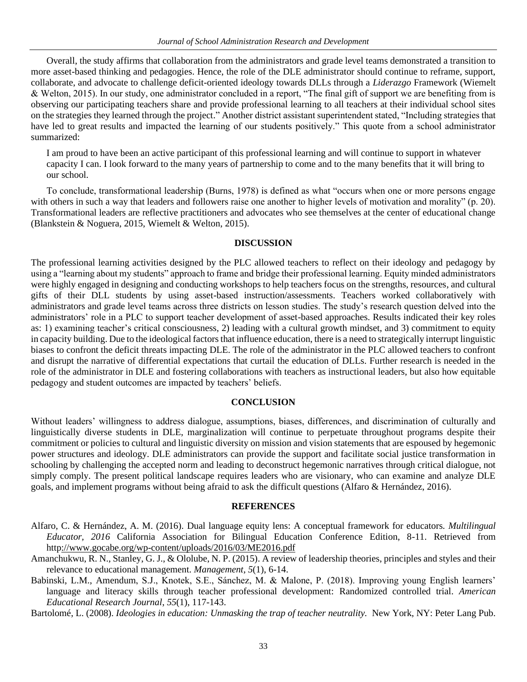Overall, the study affirms that collaboration from the administrators and grade level teams demonstrated a transition to more asset-based thinking and pedagogies. Hence, the role of the DLE administrator should continue to reframe, support, collaborate, and advocate to challenge deficit-oriented ideology towards DLLs through a *Liderazgo* Framework (Wiemelt & Welton, 2015). In our study, one administrator concluded in a report, "The final gift of support we are benefiting from is observing our participating teachers share and provide professional learning to all teachers at their individual school sites on the strategies they learned through the project." Another district assistant superintendent stated, "Including strategies that have led to great results and impacted the learning of our students positively." This quote from a school administrator summarized:

I am proud to have been an active participant of this professional learning and will continue to support in whatever capacity I can. I look forward to the many years of partnership to come and to the many benefits that it will bring to our school.

To conclude, transformational leadership (Burns, 1978) is defined as what "occurs when one or more persons engage with others in such a way that leaders and followers raise one another to higher levels of motivation and morality" (p. 20). Transformational leaders are reflective practitioners and advocates who see themselves at the center of educational change (Blankstein & Noguera, 2015, Wiemelt & Welton, 2015).

## **DISCUSSION**

The professional learning activities designed by the PLC allowed teachers to reflect on their ideology and pedagogy by using a "learning about my students" approach to frame and bridge their professional learning. Equity minded administrators were highly engaged in designing and conducting workshops to help teachers focus on the strengths, resources, and cultural gifts of their DLL students by using asset-based instruction/assessments. Teachers worked collaboratively with administrators and grade level teams across three districts on lesson studies. The study's research question delved into the administrators' role in a PLC to support teacher development of asset-based approaches. Results indicated their key roles as: 1) examining teacher's critical consciousness, 2) leading with a cultural growth mindset, and 3) commitment to equity in capacity building. Due to the ideological factors that influence education, there is a need to strategically interrupt linguistic biases to confront the deficit threats impacting DLE. The role of the administrator in the PLC allowed teachers to confront and disrupt the narrative of differential expectations that curtail the education of DLLs. Further research is needed in the role of the administrator in DLE and fostering collaborations with teachers as instructional leaders, but also how equitable pedagogy and student outcomes are impacted by teachers' beliefs.

#### **CONCLUSION**

Without leaders' willingness to address dialogue, assumptions, biases, differences, and discrimination of culturally and linguistically diverse students in DLE, marginalization will continue to perpetuate throughout programs despite their commitment or policies to cultural and linguistic diversity on mission and vision statements that are espoused by hegemonic power structures and ideology. DLE administrators can provide the support and facilitate social justice transformation in schooling by challenging the accepted norm and leading to deconstruct hegemonic narratives through critical dialogue, not simply comply. The present political landscape requires leaders who are visionary, who can examine and analyze DLE goals, and implement programs without being afraid to ask the difficult questions (Alfaro & Hernández, 2016).

## **REFERENCES**

- Alfaro, C. & Hernández, A. M. (2016). Dual language equity lens: A conceptual framework for educators. *Multilingual Educator, 2016* California Association for Bilingual Education Conference Edition, 8-11. Retrieved from htt[p://www.gocabe.org/wp-content/uploads/2016/03/ME2016.pdf](http://www.gocabe.org/wp-content/uploads/2016/03/ME2016.pdf)
- Amanchukwu, R. N., Stanley, G. J., & Ololube, N. P. (2015). A review of leadership theories, principles and styles and their relevance to educational management. *Management*, *5*(1), 6-14.
- Babinski, L.M., Amendum, S.J., Knotek, S.E., Sánchez, M. & Malone, P. (2018). Improving young English learners' language and literacy skills through teacher professional development: Randomized controlled trial. *American Educational Research Journal*, *55*(1), 117-143.
- Bartolomé, L. (2008). *Ideologies in education: Unmasking the trap of teacher neutrality.* New York, NY: Peter Lang Pub.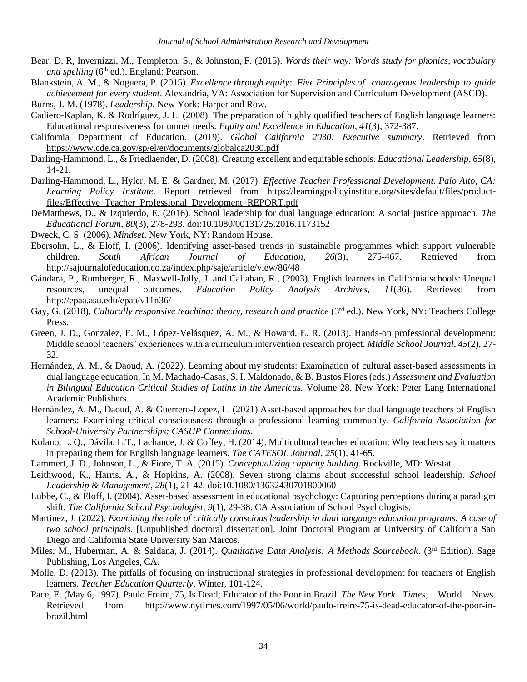- Bear, D. R, Invernizzi, M., Templeton, S., & Johnston, F. (2015). *Words their way: Words study for phonics, vocabulary and spelling* (6<sup>th</sup> ed.). England: Pearson.
- Blankstein, A. M., & Noguera, P. (2015). *Excellence through equity: Five Principles of courageous leadership to guide achievement for every student*. Alexandria, VA: Association for Supervision and Curriculum Development (ASCD). Burns, J. M. (1978). *Leadership*. New York: Harper and Row.

Cadiero-Kaplan, K. & Rodríguez, J. L. (2008). The preparation of highly qualified teachers of English language learners: Educational responsiveness for unmet needs. *Equity and Excellence in Education, 41*(3), 372-387.

- California Department of Education. (2019). *Global California 2030: Executive summary*. Retrieved from <https://www.cde.ca.gov/sp/el/er/documents/globalca2030.pdf>
- Darling-Hammond, L., & Friedlaender, D. (2008). Creating excellent and equitable schools. *Educational Leadership*, *65*(8), 14-21.
- Darling-Hammond, L., Hyler, M. E. & Gardner, M. (2017). *Effective Teacher Professional Development. Palo Alto, CA: Learning Policy Institute.* Report retrieved from [https://learningpolicyinstitute.org/sites/default/files/product](https://learningpolicyinstitute.org/sites/default/files/product-files/Effective_Teacher_Professional_Development_REPORT.pdf)[files/Effective\\_Teacher\\_Professional\\_Development\\_REPORT.pdf](https://learningpolicyinstitute.org/sites/default/files/product-files/Effective_Teacher_Professional_Development_REPORT.pdf)
- DeMatthews, D., & Izquierdo, E. (2016). School leadership for dual language education: A social justice approach. *The Educational Forum, 80*(3), 278-293. doi:10.1080/00131725.2016.1173152

Dweck, C. S. (2006). *Mindset*. New York, NY: Random House.

- Ebersohn, L., & Eloff, I. (2006). Identifying asset-based trends in sustainable programmes which support vulnerable children. *South African Journal of Education*, *26*(3), 275-467. Retrieved from <http://sajournalofeducation.co.za/index.php/saje/article/view/86/48>
- Gándara, P., Rumberger, R., Maxwell-Jolly, J. and Callahan, R., (2003). English learners in California schools: Unequal resources, unequal outcomes. *Education Policy Analysis Archives, 11*(36). Retrieved from <http://epaa.asu.edu/epaa/v11n36/>
- Gay, G. (2018). *Culturally responsive teaching: theory, research and practice* (3<sup>rd</sup> ed.). New York, NY: Teachers College Press.
- Green, J. D., Gonzalez, E. M., López-Velásquez, A. M., & Howard, E. R. (2013). Hands-on professional development: Middle school teachers' experiences with a curriculum intervention research project. *Middle School Journal*, *45*(2), 27- 32.
- Hernández, A. M., & Daoud, A. (2022). Learning about my students: Examination of cultural asset-based assessments in dual language education. In M. Machado-Casas, S. I. Maldonado, & B. Bustos Flores (eds.) *Assessment and Evaluation in Bilingual Education Critical Studies of Latinx in the Americas.* Volume 28. New York: Peter Lang International Academic Publishers.
- Hernández, A. M., Daoud, A. & Guerrero-Lopez, L. (2021) Asset-based approaches for dual language teachers of English learners: Examining critical consciousness through a professional learning community. *California Association for School-University Partnerships: CASUP Connections.*
- Kolano, L. Q., Dávila, L.T., Lachance, J. & Coffey, H. (2014). Multicultural teacher education: Why teachers say it matters in preparing them for English language learners. *The CATESOL Journal*, *25*(1), 41-65.
- Lammert, J. D., Johnson, L., & Fiore, T. A. (2015). *Conceptualizing capacity building*. Rockville, MD: Westat.
- Leithwood, K., Harris, A., & Hopkins, A. (2008). Seven strong claims about successful school leadership. *School Leadership & Management, 28*(1), 21-42. doi:10.1080/13632430701800060
- Lubbe, C., & Eloff, I. (2004). Asset-based assessment in educational psychology: Capturing perceptions during a paradigm shift. *The California School Psychologist, 9*(1), 29-38. CA Association of School Psychologists.
- Martinez, J. (2022). *Examining the role of critically conscious leadership in dual language education programs: A case of two school principals*. [Unpublished doctoral dissertation]. Joint Doctoral Program at University of California San Diego and California State University San Marcos.
- Miles, M., Huberman, A. & Saldana, J. (2014). *Qualitative Data Analysis: A Methods Sourcebook*. (3rd Edition). Sage Publishing, Los Angeles, CA.
- Molle, D. (2013). The pitfalls of focusing on instructional strategies in professional development for teachers of English learners. *Teacher Education Quarterly*, Winter, 101-124.
- Pace, E. (May 6, 1997). Paulo Freire, 75, Is Dead; Educator of the Poor in Brazil. *The New York Times*, World News. Retrieved from [http://www.nytimes.com/1997/05/06/world/paulo-freire-75-is-dead-educator-of-the-poor-in](http://www.nytimes.com/1997/05/06/world/paulo-freire-75-is-dead-educator-of-the-poor-in-brazil.html)[brazil.html](http://www.nytimes.com/1997/05/06/world/paulo-freire-75-is-dead-educator-of-the-poor-in-brazil.html)